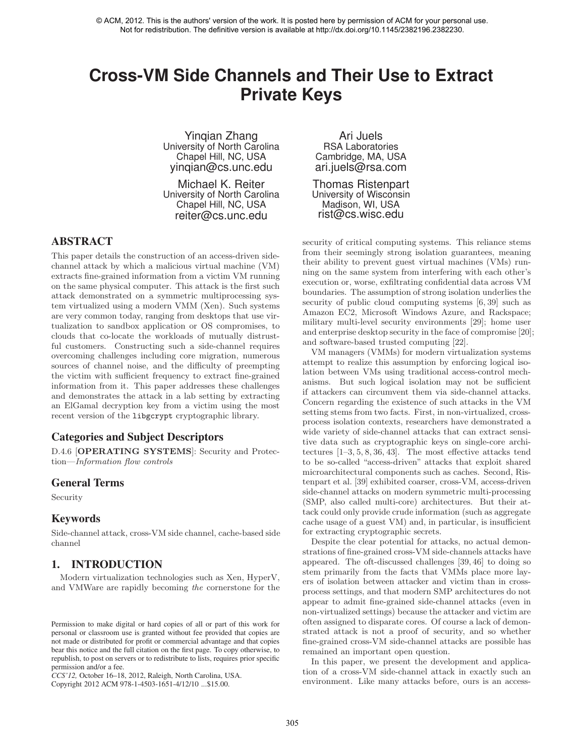# **Cross-VM Side Channels and Their Use to Extract Private Keys**

Yinqian Zhang University of North Carolina Chapel Hill, NC, USA yinqian@cs.unc.edu

Michael K. Reiter University of North Carolina Chapel Hill, NC, USA reiter@cs.unc.edu

# **ABSTRACT**

This paper details the construction of an access-driven sidechannel attack by which a malicious virtual machine (VM) extracts fine-grained information from a victim VM running on the same physical computer. This attack is the first such attack demonstrated on a symmetric multiprocessing system virtualized using a modern VMM (Xen). Such systems are very common today, ranging from desktops that use virtualization to sandbox application or OS compromises, to clouds that co-locate the workloads of mutually distrustful customers. Constructing such a side-channel requires overcoming challenges including core migration, numerous sources of channel noise, and the difficulty of preempting the victim with sufficient frequency to extract fine-grained information from it. This paper addresses these challenges and demonstrates the attack in a lab setting by extracting an ElGamal decryption key from a victim using the most recent version of the libgcrypt cryptographic library.

# **Categories and Subject Descriptors**

D.4.6 [OPERATING SYSTEMS]: Security and Protection—*Information flow controls*

## **General Terms**

Security

## **Keywords**

Side-channel attack, cross-VM side channel, cache-based side channel

# **1. INTRODUCTION**

Modern virtualization technologies such as Xen, HyperV, and VMWare are rapidly becoming *the* cornerstone for the

*CCS'12,* October 16–18, 2012, Raleigh, North Carolina, USA. Copyright 2012 ACM 978-1-4503-1651-4/12/10 ...\$15.00.

Ari Juels RSA Laboratories Cambridge, MA, USA ari.juels@rsa.com

Thomas Ristenpart University of Wisconsin Madison, WI, USA rist@cs.wisc.edu

security of critical computing systems. This reliance stems from their seemingly strong isolation guarantees, meaning their ability to prevent guest virtual machines (VMs) running on the same system from interfering with each other's execution or, worse, exfiltrating confidential data across VM boundaries. The assumption of strong isolation underlies the security of public cloud computing systems [6, 39] such as Amazon EC2, Microsoft Windows Azure, and Rackspace; military multi-level security environments [29]; home user and enterprise desktop security in the face of compromise [20]; and software-based trusted computing [22].

VM managers (VMMs) for modern virtualization systems attempt to realize this assumption by enforcing logical isolation between VMs using traditional access-control mechanisms. But such logical isolation may not be sufficient if attackers can circumvent them via side-channel attacks. Concern regarding the existence of such attacks in the VM setting stems from two facts. First, in non-virtualized, crossprocess isolation contexts, researchers have demonstrated a wide variety of side-channel attacks that can extract sensitive data such as cryptographic keys on single-core architectures [1–3, 5, 8, 36, 43]. The most effective attacks tend to be so-called "access-driven" attacks that exploit shared microarchitectural components such as caches. Second, Ristenpart et al. [39] exhibited coarser, cross-VM, access-driven side-channel attacks on modern symmetric multi-processing (SMP, also called multi-core) architectures. But their attack could only provide crude information (such as aggregate cache usage of a guest VM) and, in particular, is insufficient for extracting cryptographic secrets. 3005 CF 2013. The authors' version of the authors' version of the state of the state of the state of the state of the state of the state of the state of the state of the state of the state of the state of the state of the

Despite the clear potential for attacks, no actual demonstrations of fine-grained cross-VM side-channels attacks have appeared. The oft-discussed challenges [39, 46] to doing so stem primarily from the facts that VMMs place more layers of isolation between attacker and victim than in crossprocess settings, and that modern SMP architectures do not appear to admit fine-grained side-channel attacks (even in non-virtualized settings) because the attacker and victim are often assigned to disparate cores. Of course a lack of demonstrated attack is not a proof of security, and so whether fine-grained cross-VM side-channel attacks are possible has remained an important open question.

In this paper, we present the development and application of a cross-VM side-channel attack in exactly such an environment. Like many attacks before, ours is an access-

Permission to make digital or hard copies of all or part of this work for personal or classroom use is granted without fee provided that copies are not made or distributed for profit or commercial advantage and that copies bear this notice and the full citation on the first page. To copy otherwise, to republish, to post on servers or to redistribute to lists, requires prior specific permission and/or a fee.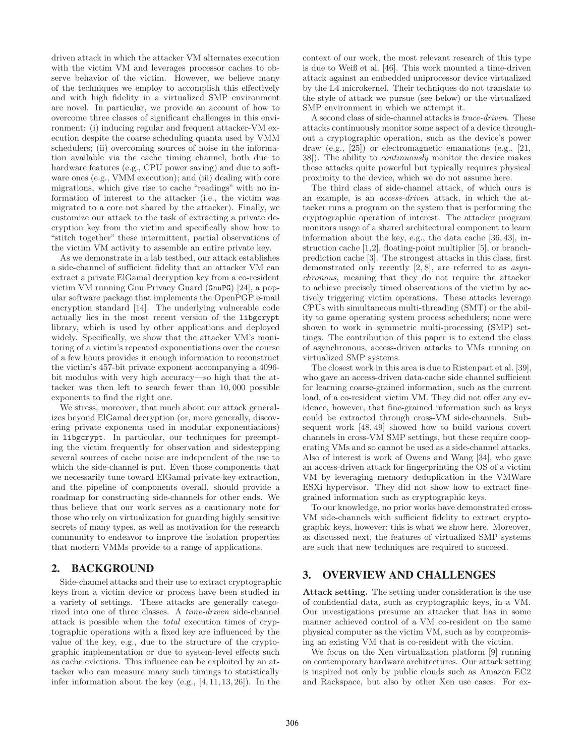driven attack in which the attacker VM alternates execution with the victim VM and leverages processor caches to observe behavior of the victim. However, we believe many of the techniques we employ to accomplish this effectively and with high fidelity in a virtualized SMP environment are novel. In particular, we provide an account of how to overcome three classes of significant challenges in this environment: (i) inducing regular and frequent attacker-VM execution despite the coarse scheduling quanta used by VMM schedulers; (ii) overcoming sources of noise in the information available via the cache timing channel, both due to hardware features (e.g., CPU power saving) and due to software ones (e.g., VMM execution); and (iii) dealing with core migrations, which give rise to cache "readings" with no information of interest to the attacker (i.e., the victim was migrated to a core not shared by the attacker). Finally, we customize our attack to the task of extracting a private decryption key from the victim and specifically show how to "stitch together" these intermittent, partial observations of the victim VM activity to assemble an entire private key.

As we demonstrate in a lab testbed, our attack establishes a side-channel of sufficient fidelity that an attacker VM can extract a private ElGamal decryption key from a co-resident victim VM running Gnu Privacy Guard (GnuPG) [24], a popular software package that implements the OpenPGP e-mail encryption standard [14]. The underlying vulnerable code actually lies in the most recent version of the libgcrypt library, which is used by other applications and deployed widely. Specifically, we show that the attacker VM's monitoring of a victim's repeated exponentiations over the course of a few hours provides it enough information to reconstruct the victim's 457-bit private exponent accompanying a 4096 bit modulus with very high accuracy—so high that the attacker was then left to search fewer than 10, 000 possible exponents to find the right one.

We stress, moreover, that much about our attack generalizes beyond ElGamal decryption (or, more generally, discovering private exponents used in modular exponentiations) in libgcrypt. In particular, our techniques for preempting the victim frequently for observation and sidestepping several sources of cache noise are independent of the use to which the side-channel is put. Even those components that we necessarily tune toward ElGamal private-key extraction, and the pipeline of components overall, should provide a roadmap for constructing side-channels for other ends. We thus believe that our work serves as a cautionary note for those who rely on virtualization for guarding highly sensitive secrets of many types, as well as motivation for the research community to endeavor to improve the isolation properties that modern VMMs provide to a range of applications.

## **2. BACKGROUND**

Side-channel attacks and their use to extract cryptographic keys from a victim device or process have been studied in a variety of settings. These attacks are generally categorized into one of three classes. A *time-driven* side-channel attack is possible when the *total* execution times of cryptographic operations with a fixed key are influenced by the value of the key, e.g., due to the structure of the cryptographic implementation or due to system-level effects such as cache evictions. This influence can be exploited by an attacker who can measure many such timings to statistically infer information about the key  $(e.g., [4, 11, 13, 26])$ . In the

context of our work, the most relevant research of this type is due to Weiß et al. [46]. This work mounted a time-driven attack against an embedded uniprocessor device virtualized by the L4 microkernel. Their techniques do not translate to the style of attack we pursue (see below) or the virtualized SMP environment in which we attempt it.

A second class of side-channel attacks is *trace-driven*. These attacks continuously monitor some aspect of a device throughout a cryptographic operation, such as the device's power draw (e.g., [25]) or electromagnetic emanations (e.g., [21, 38]). The ability to *continuously* monitor the device makes these attacks quite powerful but typically requires physical proximity to the device, which we do not assume here.

The third class of side-channel attack, of which ours is an example, is an *access-driven* attack, in which the attacker runs a program on the system that is performing the cryptographic operation of interest. The attacker program monitors usage of a shared architectural component to learn information about the key, e.g., the data cache [36, 43], instruction cache [1,2], floating-point multiplier [5], or branchprediction cache [3]. The strongest attacks in this class, first demonstrated only recently [2, 8], are referred to as *asynchronous*, meaning that they do not require the attacker to achieve precisely timed observations of the victim by actively triggering victim operations. These attacks leverage CPUs with simultaneous multi-threading (SMT) or the ability to game operating system process schedulers; none were shown to work in symmetric multi-processing (SMP) settings. The contribution of this paper is to extend the class of asynchronous, access-driven attacks to VMs running on virtualized SMP systems.

The closest work in this area is due to Ristenpart et al. [39], who gave an access-driven data-cache side channel sufficient for learning coarse-grained information, such as the current load, of a co-resident victim VM. They did not offer any evidence, however, that fine-grained information such as keys could be extracted through cross-VM side-channels. Subsequent work [48, 49] showed how to build various covert channels in cross-VM SMP settings, but these require cooperating VMs and so cannot be used as a side-channel attacks. Also of interest is work of Owens and Wang [34], who gave an access-driven attack for fingerprinting the OS of a victim VM by leveraging memory deduplication in the VMWare ESXi hypervisor. They did not show how to extract finegrained information such as cryptographic keys.

To our knowledge, no prior works have demonstrated cross-VM side-channels with sufficient fidelity to extract cryptographic keys, however; this is what we show here. Moreover, as discussed next, the features of virtualized SMP systems are such that new techniques are required to succeed.

# **3. OVERVIEW AND CHALLENGES**

Attack setting. The setting under consideration is the use of confidential data, such as cryptographic keys, in a VM. Our investigations presume an attacker that has in some manner achieved control of a VM co-resident on the same physical computer as the victim VM, such as by compromising an existing VM that is co-resident with the victim.

We focus on the Xen virtualization platform [9] running on contemporary hardware architectures. Our attack setting is inspired not only by public clouds such as Amazon EC2 and Rackspace, but also by other Xen use cases. For ex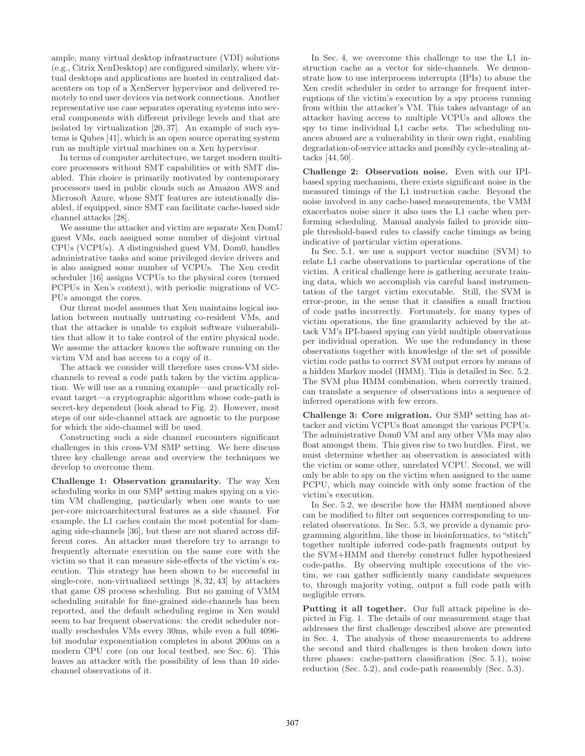ample, many virtual desktop infrastructure (VDI) solutions (e.g., Citrix XenDesktop) are configured similarly, where virtual desktops and applications are hosted in centralized datacenters on top of a XenServer hypervisor and delivered remotely to end user devices via network connections. Another representative use case separates operating systems into several components with different privilege levels and that are isolated by virtualization [20, 37]. An example of such systems is Qubes [41], which is an open source operating system run as multiple virtual machines on a Xen hypervisor.

In terms of computer architecture, we target modern multicore processors without SMT capabilities or with SMT disabled. This choice is primarily motivated by contemporary processors used in public clouds such as Amazon AWS and Microsoft Azure, whose SMT features are intentionally disabled, if equipped, since SMT can facilitate cache-based side channel attacks [28].

We assume the attacker and victim are separate Xen DomU guest VMs, each assigned some number of disjoint virtual CPUs (VCPUs). A distinguished guest VM, Dom0, handles administrative tasks and some privileged device drivers and is also assigned some number of VCPUs. The Xen credit scheduler [16] assigns VCPUs to the physical cores (termed PCPUs in Xen's context), with periodic migrations of VC-PUs amongst the cores.

Our threat model assumes that Xen maintains logical isolation between mutually untrusting co-resident VMs, and that the attacker is unable to exploit software vulnerabilities that allow it to take control of the entire physical node. We assume the attacker knows the software running on the victim VM and has access to a copy of it.

The attack we consider will therefore uses cross-VM sidechannels to reveal a code path taken by the victim application. We will use as a running example—and practically relevant target—a cryptographic algorithm whose code-path is secret-key dependent (look ahead to Fig. 2). However, most steps of our side-channel attack are agnostic to the purpose for which the side-channel will be used.

Constructing such a side channel encounters significant challenges in this cross-VM SMP setting. We here discuss three key challenge areas and overview the techniques we develop to overcome them.

Challenge 1: Observation granularity. The way Xen scheduling works in our SMP setting makes spying on a victim VM challenging, particularly when one wants to use per-core microarchitectural features as a side channel. For example, the L1 caches contain the most potential for damaging side-channels [36], but these are not shared across different cores. An attacker must therefore try to arrange to frequently alternate execution on the same core with the victim so that it can measure side-effects of the victim's execution. This strategy has been shown to be successful in single-core, non-virtualized settings [8, 32, 43] by attackers that game OS process scheduling. But no gaming of VMM scheduling suitable for fine-grained side-channels has been reported, and the default scheduling regime in Xen would seem to bar frequent observations: the credit scheduler normally reschedules VMs every 30ms, while even a full 4096 bit modular exponentiation completes in about 200ms on a modern CPU core (on our local testbed, see Sec. 6). This leaves an attacker with the possibility of less than 10 sidechannel observations of it.

In Sec. 4, we overcome this challenge to use the L1 instruction cache as a vector for side-channels. We demonstrate how to use interprocess interrupts (IPIs) to abuse the Xen credit scheduler in order to arrange for frequent interruptions of the victim's execution by a spy process running from within the attacker's VM. This takes advantage of an attacker having access to multiple VCPUs and allows the spy to time individual L1 cache sets. The scheduling nuances abused are a vulnerability in their own right, enabling degradation-of-service attacks and possibly cycle-stealing attacks [44, 50].

Challenge 2: Observation noise. Even with our IPIbased spying mechanism, there exists significant noise in the measured timings of the L1 instruction cache. Beyond the noise involved in any cache-based measurements, the VMM exacerbates noise since it also uses the L1 cache when performing scheduling. Manual analysis failed to provide simple threshold-based rules to classify cache timings as being indicative of particular victim operations.

In Sec. 5.1, we use a support vector machine (SVM) to relate L1 cache observations to particular operations of the victim. A critical challenge here is gathering accurate training data, which we accomplish via careful hand instrumentation of the target victim executable. Still, the SVM is error-prone, in the sense that it classifies a small fraction of code paths incorrectly. Fortunately, for many types of victim operations, the fine granularity achieved by the attack VM's IPI-based spying can yield multiple observations per individual operation. We use the redundancy in these observations together with knowledge of the set of possible victim code paths to correct SVM output errors by means of a hidden Markov model (HMM). This is detailed in Sec. 5.2. The SVM plus HMM combination, when correctly trained, can translate a sequence of observations into a sequence of inferred operations with few errors.

Challenge 3: Core migration. Our SMP setting has attacker and victim VCPUs float amongst the various PCPUs. The administrative Dom0 VM and any other VMs may also float amongst them. This gives rise to two hurdles. First, we must determine whether an observation is associated with the victim or some other, unrelated VCPU. Second, we will only be able to spy on the victim when assigned to the same PCPU, which may coincide with only some fraction of the victim's execution.

In Sec. 5.2, we describe how the HMM mentioned above can be modified to filter out sequences corresponding to unrelated observations. In Sec. 5.3, we provide a dynamic programming algorithm, like those in bioinformatics, to "stitch" together multiple inferred code-path fragments output by the SVM+HMM and thereby construct fuller hypothesized code-paths. By observing multiple executions of the victim, we can gather sufficiently many candidate sequences to, through majority voting, output a full code path with negligible errors.

Putting it all together. Our full attack pipeline is depicted in Fig. 1. The details of our measurement stage that addresses the first challenge described above are presented in Sec. 4. The analysis of these measurements to address the second and third challenges is then broken down into three phases: cache-pattern classification (Sec. 5.1), noise reduction (Sec. 5.2), and code-path reassembly (Sec. 5.3).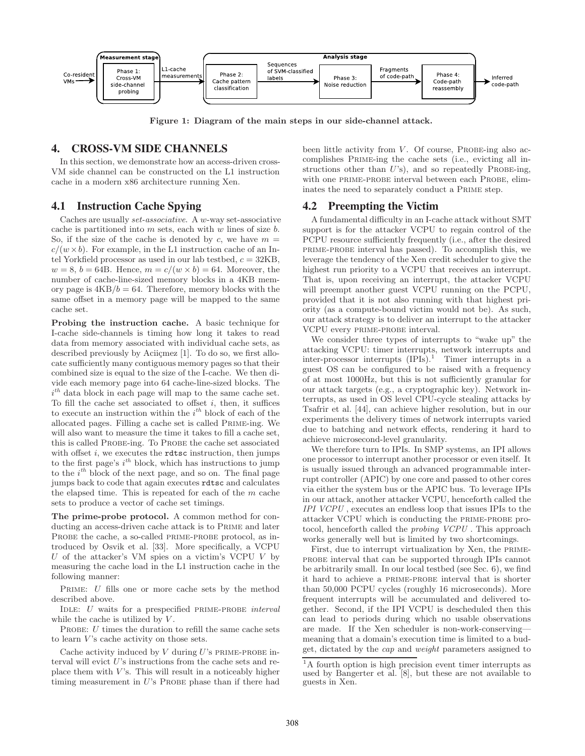

Figure 1: Diagram of the main steps in our side-channel attack.

# **4. CROSS-VM SIDE CHANNELS**

In this section, we demonstrate how an access-driven cross-VM side channel can be constructed on the L1 instruction cache in a modern x86 architecture running Xen.

## **4.1 Instruction Cache Spying**

Caches are usually *set-associative*. A w-way set-associative cache is partitioned into  $m$  sets, each with  $w$  lines of size  $b$ . So, if the size of the cache is denoted by c, we have  $m =$  $c/(w \times b)$ . For example, in the L1 instruction cache of an Intel Yorkfield processor as used in our lab testbed,  $c = 32KB$ ,  $w = 8, b = 64B$ . Hence,  $m = c/(w \times b) = 64$ . Moreover, the number of cache-line-sized memory blocks in a 4KB memory page is  $4KB/b = 64$ . Therefore, memory blocks with the same offset in a memory page will be mapped to the same cache set.

Probing the instruction cache. A basic technique for I-cache side-channels is timing how long it takes to read data from memory associated with individual cache sets, as described previously by Aciicmez  $[1]$ . To do so, we first allocate sufficiently many contiguous memory pages so that their combined size is equal to the size of the I-cache. We then divide each memory page into 64 cache-line-sized blocks. The  $i^{th}$  data block in each page will map to the same cache set. To fill the cache set associated to offset  $i$ , then, it suffices to execute an instruction within the  $i^{th}$  block of each of the allocated pages. Filling a cache set is called Prime-ing. We will also want to measure the time it takes to fill a cache set, this is called Probe-ing. To Probe the cache set associated with offset  $i$ , we executes the rdtsc instruction, then jumps to the first page's  $i^{th}$  block, which has instructions to jump to the  $i^{th}$  block of the next page, and so on. The final page jumps back to code that again executes rdtsc and calculates the elapsed time. This is repeated for each of the  $m$  cache sets to produce a vector of cache set timings.

The prime-probe protocol. A common method for conducting an access-driven cache attack is to Prime and later PROBE the cache, a so-called PRIME-PROBE protocol, as introduced by Osvik et al. [33]. More specifically, a VCPU  $U$  of the attacker's VM spies on a victim's VCPU  $V$  by measuring the cache load in the L1 instruction cache in the following manner:

PRIME: U fills one or more cache sets by the method described above.

IDLE: U waits for a prespecified PRIME-PROBE *interval* while the cache is utilized by  $V$ .

PROBE: U times the duration to refill the same cache sets to learn  $V$ 's cache activity on those sets.

Cache activity induced by  $V$  during  $U$ 's PRIME-PROBE interval will evict  $U$ 's instructions from the cache sets and replace them with  $V$ 's. This will result in a noticeably higher timing measurement in  $U$ 's PROBE phase than if there had

been little activity from  $V$ . Of course, PROBE-ing also accomplishes Prime-ing the cache sets (i.e., evicting all instructions other than  $U$ 's), and so repeatedly PROBE-ing, with one PRIME-PROBE interval between each PROBE, eliminates the need to separately conduct a Prime step.

## **4.2 Preempting the Victim**

A fundamental difficulty in an I-cache attack without SMT support is for the attacker VCPU to regain control of the PCPU resource sufficiently frequently (i.e., after the desired prime-probe interval has passed). To accomplish this, we leverage the tendency of the Xen credit scheduler to give the highest run priority to a VCPU that receives an interrupt. That is, upon receiving an interrupt, the attacker VCPU will preempt another guest VCPU running on the PCPU, provided that it is not also running with that highest priority (as a compute-bound victim would not be). As such, our attack strategy is to deliver an interrupt to the attacker VCPU every prime-probe interval.

We consider three types of interrupts to "wake up" the attacking VCPU: timer interrupts, network interrupts and inter-processor interrupts  $(IPIs).$ <sup>1</sup> Timer interrupts in a guest OS can be configured to be raised with a frequency of at most 1000Hz, but this is not sufficiently granular for our attack targets (e.g., a cryptographic key). Network interrupts, as used in OS level CPU-cycle stealing attacks by Tsafrir et al. [44], can achieve higher resolution, but in our experiments the delivery times of network interrupts varied due to batching and network effects, rendering it hard to achieve microsecond-level granularity.

We therefore turn to IPIs. In SMP systems, an IPI allows one processor to interrupt another processor or even itself. It is usually issued through an advanced programmable interrupt controller (APIC) by one core and passed to other cores via either the system bus or the APIC bus. To leverage IPIs in our attack, another attacker VCPU, henceforth called the *IPI VCPU* , executes an endless loop that issues IPIs to the attacker VCPU which is conducting the prime-probe protocol, henceforth called the *probing VCPU* . This approach works generally well but is limited by two shortcomings.

First, due to interrupt virtualization by Xen, the primeprobe interval that can be supported through IPIs cannot be arbitrarily small. In our local testbed (see Sec. 6), we find it hard to achieve a prime-probe interval that is shorter than 50,000 PCPU cycles (roughly 16 microseconds). More frequent interrupts will be accumulated and delivered together. Second, if the IPI VCPU is descheduled then this can lead to periods during which no usable observations are made. If the Xen scheduler is non-work-conserving meaning that a domain's execution time is limited to a budget, dictated by the *cap* and *weight* parameters assigned to

<sup>&</sup>lt;sup>1</sup>A fourth option is high precision event timer interrupts as used by Bangerter et al. [8], but these are not available to guests in Xen.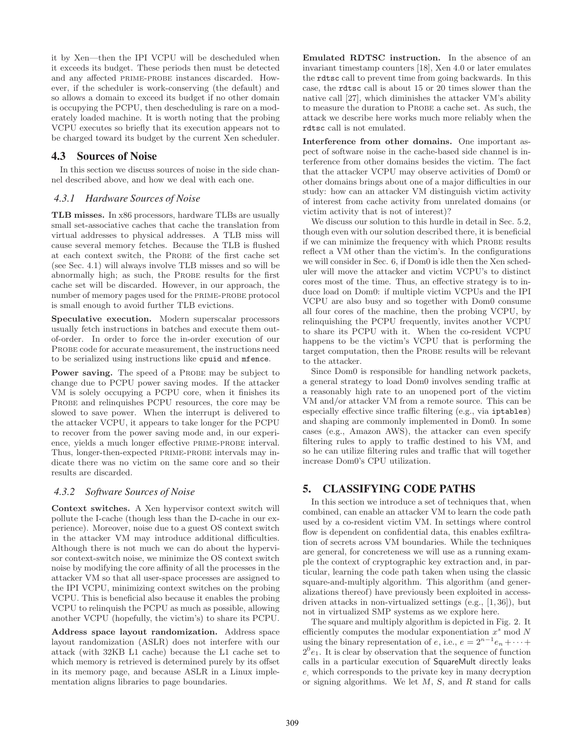it by Xen—then the IPI VCPU will be descheduled when it exceeds its budget. These periods then must be detected and any affected prime-probe instances discarded. However, if the scheduler is work-conserving (the default) and so allows a domain to exceed its budget if no other domain is occupying the PCPU, then descheduling is rare on a moderately loaded machine. It is worth noting that the probing VCPU executes so briefly that its execution appears not to be charged toward its budget by the current Xen scheduler.

## **4.3 Sources of Noise**

In this section we discuss sources of noise in the side channel described above, and how we deal with each one.

#### *4.3.1 Hardware Sources of Noise*

TLB misses. In x86 processors, hardware TLBs are usually small set-associative caches that cache the translation from virtual addresses to physical addresses. A TLB miss will cause several memory fetches. Because the TLB is flushed at each context switch, the Probe of the first cache set (see Sec. 4.1) will always involve TLB misses and so will be abnormally high; as such, the PROBE results for the first cache set will be discarded. However, in our approach, the number of memory pages used for the prime-probe protocol is small enough to avoid further TLB evictions.

Speculative execution. Modern superscalar processors usually fetch instructions in batches and execute them outof-order. In order to force the in-order execution of our PROBE code for accurate measurement, the instructions need to be serialized using instructions like cpuid and mfence.

Power saving. The speed of a PROBE may be subject to change due to PCPU power saving modes. If the attacker VM is solely occupying a PCPU core, when it finishes its PROBE and relinquishes PCPU resources, the core may be slowed to save power. When the interrupt is delivered to the attacker VCPU, it appears to take longer for the PCPU to recover from the power saving mode and, in our experience, yields a much longer effective prime-probe interval. Thus, longer-then-expected prime-probe intervals may indicate there was no victim on the same core and so their results are discarded.

#### *4.3.2 Software Sources of Noise*

Context switches. A Xen hypervisor context switch will pollute the I-cache (though less than the D-cache in our experience). Moreover, noise due to a guest OS context switch in the attacker VM may introduce additional difficulties. Although there is not much we can do about the hypervisor context-switch noise, we minimize the OS context switch noise by modifying the core affinity of all the processes in the attacker VM so that all user-space processes are assigned to the IPI VCPU, minimizing context switches on the probing VCPU. This is beneficial also because it enables the probing VCPU to relinquish the PCPU as much as possible, allowing another VCPU (hopefully, the victim's) to share its PCPU.

Address space layout randomization. Address space layout randomization (ASLR) does not interfere with our attack (with 32KB L1 cache) because the L1 cache set to which memory is retrieved is determined purely by its offset in its memory page, and because ASLR in a Linux implementation aligns libraries to page boundaries.

Emulated RDTSC instruction. In the absence of an invariant timestamp counters [18], Xen 4.0 or later emulates the rdtsc call to prevent time from going backwards. In this case, the rdtsc call is about 15 or 20 times slower than the native call [27], which diminishes the attacker VM's ability to measure the duration to PROBE a cache set. As such, the attack we describe here works much more reliably when the rdtsc call is not emulated.

Interference from other domains. One important aspect of software noise in the cache-based side channel is interference from other domains besides the victim. The fact that the attacker VCPU may observe activities of Dom0 or other domains brings about one of a major difficulties in our study: how can an attacker VM distinguish victim activity of interest from cache activity from unrelated domains (or victim activity that is not of interest)?

We discuss our solution to this hurdle in detail in Sec. 5.2, though even with our solution described there, it is beneficial if we can minimize the frequency with which Probe results reflect a VM other than the victim's. In the configurations we will consider in Sec. 6, if Dom0 is idle then the Xen scheduler will move the attacker and victim VCPU's to distinct cores most of the time. Thus, an effective strategy is to induce load on Dom0: if multiple victim VCPUs and the IPI VCPU are also busy and so together with Dom0 consume all four cores of the machine, then the probing VCPU, by relinquishing the PCPU frequently, invites another VCPU to share its PCPU with it. When the co-resident VCPU happens to be the victim's VCPU that is performing the target computation, then the PROBE results will be relevant to the attacker.

Since Dom0 is responsible for handling network packets, a general strategy to load Dom0 involves sending traffic at a reasonably high rate to an unopened port of the victim VM and/or attacker VM from a remote source. This can be especially effective since traffic filtering (e.g., via iptables) and shaping are commonly implemented in Dom0. In some cases (e.g., Amazon AWS), the attacker can even specify filtering rules to apply to traffic destined to his VM, and so he can utilize filtering rules and traffic that will together increase Dom0's CPU utilization.

# **5. CLASSIFYING CODE PATHS**

In this section we introduce a set of techniques that, when combined, can enable an attacker VM to learn the code path used by a co-resident victim VM. In settings where control flow is dependent on confidential data, this enables exfiltration of secrets across VM boundaries. While the techniques are general, for concreteness we will use as a running example the context of cryptographic key extraction and, in particular, learning the code path taken when using the classic square-and-multiply algorithm. This algorithm (and generalizations thereof) have previously been exploited in accessdriven attacks in non-virtualized settings (e.g., [1, 36]), but not in virtualized SMP systems as we explore here.

The square and multiply algorithm is depicted in Fig. 2. It efficiently computes the modular exponentiation  $x^s$  mod  $N$ using the binary representation of  $e$ , i.e.,  $e = 2^{n-1}e_n + \cdots +$  $2^{0}e_{1}$ . It is clear by observation that the sequence of function calls in a particular execution of SquareMult directly leaks e, which corresponds to the private key in many decryption or signing algorithms. We let M, S, and R stand for calls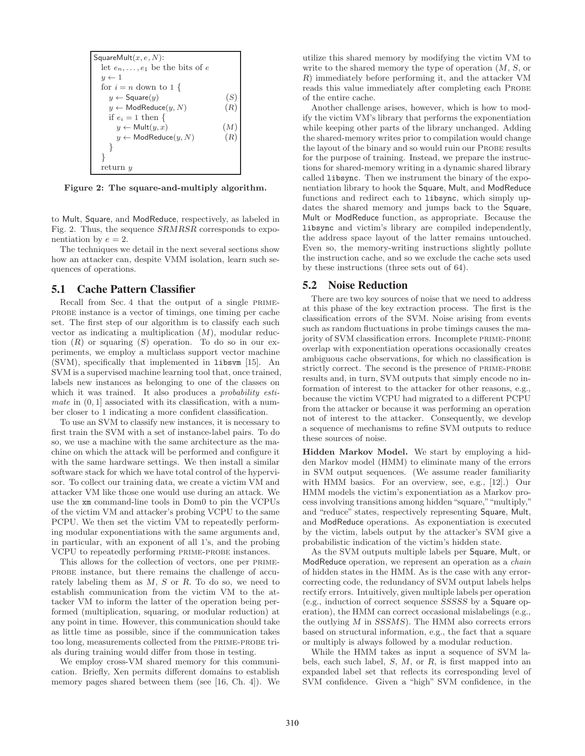| $SquareMult(x, e, N)$ :                 |     |
|-----------------------------------------|-----|
| let $e_n, \ldots, e_1$ be the bits of e |     |
| $y \leftarrow 1$                        |     |
| for $i = n$ down to 1 {                 |     |
| $y \leftarrow$ Square $(y)$             | (S) |
| $y \leftarrow$ ModReduce $(y, N)$       | (R) |
| if $e_i = 1$ then {                     |     |
| $y \leftarrow \mathsf{Mult}(y, x)$      | (M) |
| $y \leftarrow$ ModReduce $(y, N)$       | R)  |
|                                         |     |
|                                         |     |
| return y                                |     |

Figure 2: The square-and-multiply algorithm.

to Mult, Square, and ModReduce, respectively, as labeled in Fig. 2. Thus, the sequence SRMRSR corresponds to exponentiation by  $e = 2$ .

The techniques we detail in the next several sections show how an attacker can, despite VMM isolation, learn such sequences of operations.

## **5.1 Cache Pattern Classifier**

Recall from Sec. 4 that the output of a single primeprobe instance is a vector of timings, one timing per cache set. The first step of our algorithm is to classify each such vector as indicating a multiplication  $(M)$ , modular reduction  $(R)$  or squaring  $(S)$  operation. To do so in our experiments, we employ a multiclass support vector machine (SVM), specifically that implemented in libsvm [15]. An SVM is a supervised machine learning tool that, once trained, labels new instances as belonging to one of the classes on which it was trained. It also produces a *probability estimate* in  $(0, 1]$  associated with its classification, with a number closer to 1 indicating a more confident classification.

To use an SVM to classify new instances, it is necessary to first train the SVM with a set of instance-label pairs. To do so, we use a machine with the same architecture as the machine on which the attack will be performed and configure it with the same hardware settings. We then install a similar software stack for which we have total control of the hypervisor. To collect our training data, we create a victim VM and attacker VM like those one would use during an attack. We use the xm command-line tools in Dom0 to pin the VCPUs of the victim VM and attacker's probing VCPU to the same PCPU. We then set the victim VM to repeatedly performing modular exponentiations with the same arguments and, in particular, with an exponent of all 1's, and the probing VCPU to repeatedly performing prime-probe instances.

This allows for the collection of vectors, one per primeprobe instance, but there remains the challenge of accurately labeling them as M, S or R. To do so, we need to establish communication from the victim VM to the attacker VM to inform the latter of the operation being performed (multiplication, squaring, or modular reduction) at any point in time. However, this communication should take as little time as possible, since if the communication takes too long, measurements collected from the prime-probe trials during training would differ from those in testing.

We employ cross-VM shared memory for this communication. Briefly, Xen permits different domains to establish memory pages shared between them (see [16, Ch. 4]). We utilize this shared memory by modifying the victim VM to write to the shared memory the type of operation (M, S, or R) immediately before performing it, and the attacker VM reads this value immediately after completing each PROBE of the entire cache.

Another challenge arises, however, which is how to modify the victim VM's library that performs the exponentiation while keeping other parts of the library unchanged. Adding the shared-memory writes prior to compilation would change the layout of the binary and so would ruin our PROBE results for the purpose of training. Instead, we prepare the instructions for shared-memory writing in a dynamic shared library called libsync. Then we instrument the binary of the exponentiation library to hook the Square, Mult, and ModReduce functions and redirect each to libsync, which simply updates the shared memory and jumps back to the Square, Mult or ModReduce function, as appropriate. Because the libsync and victim's library are compiled independently, the address space layout of the latter remains untouched. Even so, the memory-writing instructions slightly pollute the instruction cache, and so we exclude the cache sets used by these instructions (three sets out of 64).

#### **5.2 Noise Reduction**

There are two key sources of noise that we need to address at this phase of the key extraction process. The first is the classification errors of the SVM. Noise arising from events such as random fluctuations in probe timings causes the majority of SVM classification errors. Incomplete prime-probe overlap with exponentiation operations occasionally creates ambiguous cache observations, for which no classification is strictly correct. The second is the presence of PRIME-PROBE results and, in turn, SVM outputs that simply encode no information of interest to the attacker for other reasons, e.g., because the victim VCPU had migrated to a different PCPU from the attacker or because it was performing an operation not of interest to the attacker. Consequently, we develop a sequence of mechanisms to refine SVM outputs to reduce these sources of noise.

Hidden Markov Model. We start by employing a hidden Markov model (HMM) to eliminate many of the errors in SVM output sequences. (We assume reader familiarity with HMM basics. For an overview, see, e.g., [12].) Our HMM models the victim's exponentiation as a Markov process involving transitions among hidden "square,""multiply," and "reduce" states, respectively representing Square, Mult, and ModReduce operations. As exponentiation is executed by the victim, labels output by the attacker's SVM give a probabilistic indication of the victim's hidden state.

As the SVM outputs multiple labels per Square, Mult, or ModReduce operation, we represent an operation as a *chain* of hidden states in the HMM. As is the case with any errorcorrecting code, the redundancy of SVM output labels helps rectify errors. Intuitively, given multiple labels per operation (e.g., induction of correct sequence SSSSS by a Square operation), the HMM can correct occasional mislabelings (e.g., the outlying M in SSSMS). The HMM also corrects errors based on structural information, e.g., the fact that a square or multiply is always followed by a modular reduction.

While the HMM takes as input a sequence of SVM labels, each such label, S, M, or R, is first mapped into an expanded label set that reflects its corresponding level of SVM confidence. Given a "high" SVM confidence, in the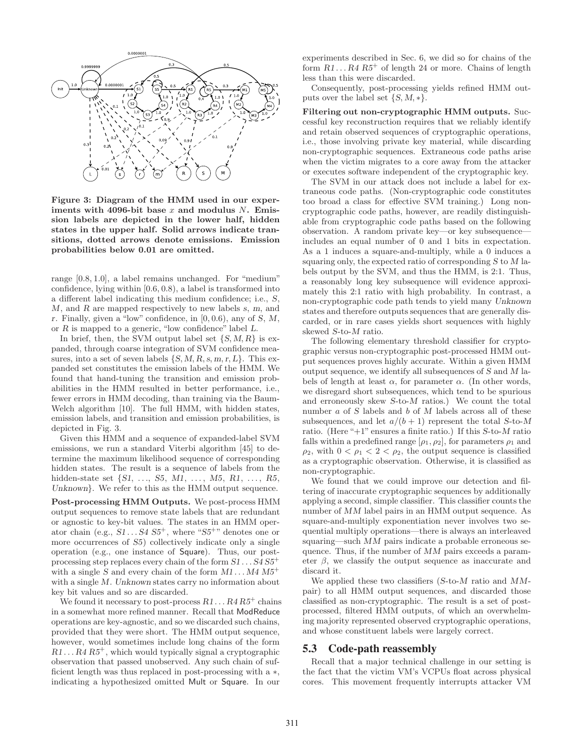

Figure 3: Diagram of the HMM used in our experiments with 4096-bit base  $x$  and modulus  $N$ . Emission labels are depicted in the lower half, hidden states in the upper half. Solid arrows indicate transitions, dotted arrows denote emissions. Emission probabilities below 0.01 are omitted.

range [0.8, 1.0], a label remains unchanged. For "medium" confidence, lying within [0.6, 0.8), a label is transformed into a different label indicating this medium confidence; i.e., S, M, and R are mapped respectively to new labels s, m, and r. Finally, given a "low" confidence, in [0, 0.6), any of S, M, or  $R$  is mapped to a generic, "low confidence" label  $L$ .

In brief, then, the SVM output label set  $\{S, M, R\}$  is expanded, through coarse integration of SVM confidence measures, into a set of seven labels  $\{S, M, R, s, m, r, L\}$ . This expanded set constitutes the emission labels of the HMM. We found that hand-tuning the transition and emission probabilities in the HMM resulted in better performance, i.e., fewer errors in HMM decoding, than training via the Baum-Welch algorithm [10]. The full HMM, with hidden states, emission labels, and transition and emission probabilities, is depicted in Fig. 3.

Given this HMM and a sequence of expanded-label SVM emissions, we run a standard Viterbi algorithm [45] to determine the maximum likelihood sequence of corresponding hidden states. The result is a sequence of labels from the hidden-state set  $\{S1, \ldots, S5, M1, \ldots, M5, R1, \ldots, R5,$ Unknown}. We refer to this as the HMM output sequence.

Post-processing HMM Outputs. We post-process HMM output sequences to remove state labels that are redundant or agnostic to key-bit values. The states in an HMM operator chain (e.g.,  $S1 \dots S4 S5^+$ , where " $S5^+$ " denotes one or more occurrences of S5) collectively indicate only a single operation (e.g., one instance of Square). Thus, our postprocessing step replaces every chain of the form  $S1 \dots S4 S5^+$ with a single S and every chain of the form  $M1...M4 M5^+$ with a single M. Unknown states carry no information about key bit values and so are discarded.

We found it necessary to post-process  $R1...R4 R5^+$  chains in a somewhat more refined manner. Recall that ModReduce operations are key-agnostic, and so we discarded such chains, provided that they were short. The HMM output sequence, however, would sometimes include long chains of the form  $R1 \ldots R4 R5^+$ , which would typically signal a cryptographic observation that passed unobserved. Any such chain of sufficient length was thus replaced in post-processing with a  $\ast$ , indicating a hypothesized omitted Mult or Square. In our

experiments described in Sec. 6, we did so for chains of the form  $R1 \dots R4 R5^+$  of length 24 or more. Chains of length less than this were discarded.

Consequently, post-processing yields refined HMM outputs over the label set  $\{S, M, *\}.$ 

Filtering out non-cryptographic HMM outputs. Successful key reconstruction requires that we reliably identify and retain observed sequences of cryptographic operations, i.e., those involving private key material, while discarding non-cryptographic sequences. Extraneous code paths arise when the victim migrates to a core away from the attacker or executes software independent of the cryptographic key.

The SVM in our attack does not include a label for extraneous code paths. (Non-cryptographic code constitutes too broad a class for effective SVM training.) Long noncryptographic code paths, however, are readily distinguishable from cryptographic code paths based on the following observation. A random private key—or key subsequence includes an equal number of 0 and 1 bits in expectation. As a 1 induces a square-and-multiply, while a 0 induces a squaring only, the expected ratio of corresponding  $S$  to  $M$  labels output by the SVM, and thus the HMM, is 2:1. Thus, a reasonably long key subsequence will evidence approximately this 2:1 ratio with high probability. In contrast, a non-cryptographic code path tends to yield many Unknown states and therefore outputs sequences that are generally discarded, or in rare cases yields short sequences with highly skewed S-to-M ratio.

The following elementary threshold classifier for cryptographic versus non-cryptographic post-processed HMM output sequences proves highly accurate. Within a given HMM output sequence, we identify all subsequences of S and M labels of length at least  $\alpha$ , for parameter  $\alpha$ . (In other words, we disregard short subsequences, which tend to be spurious and erroneously skew S-to-M ratios.) We count the total number a of S labels and b of M labels across all of these subsequences, and let  $a/(b+1)$  represent the total S-to-M ratio. (Here " $+1$ " ensures a finite ratio.) If this S-to-M ratio falls within a predefined range  $[\rho_1, \rho_2]$ , for parameters  $\rho_1$  and  $\rho_2$ , with  $0 < \rho_1 < 2 < \rho_2$ , the output sequence is classified as a cryptographic observation. Otherwise, it is classified as non-cryptographic.

We found that we could improve our detection and filtering of inaccurate cryptographic sequences by additionally applying a second, simple classifier. This classifier counts the number of MM label pairs in an HMM output sequence. As square-and-multiply exponentiation never involves two sequential multiply operations—there is always an interleaved squaring—such MM pairs indicate a probable erroneous sequence. Thus, if the number of MM pairs exceeds a parameter  $\beta$ , we classify the output sequence as inaccurate and discard it.

We applied these two classifiers  $(S$ -to- $M$  ratio and  $MM$ pair) to all HMM output sequences, and discarded those classified as non-cryptographic. The result is a set of postprocessed, filtered HMM outputs, of which an overwhelming majority represented observed cryptographic operations, and whose constituent labels were largely correct.

#### **5.3 Code-path reassembly**

Recall that a major technical challenge in our setting is the fact that the victim VM's VCPUs float across physical cores. This movement frequently interrupts attacker VM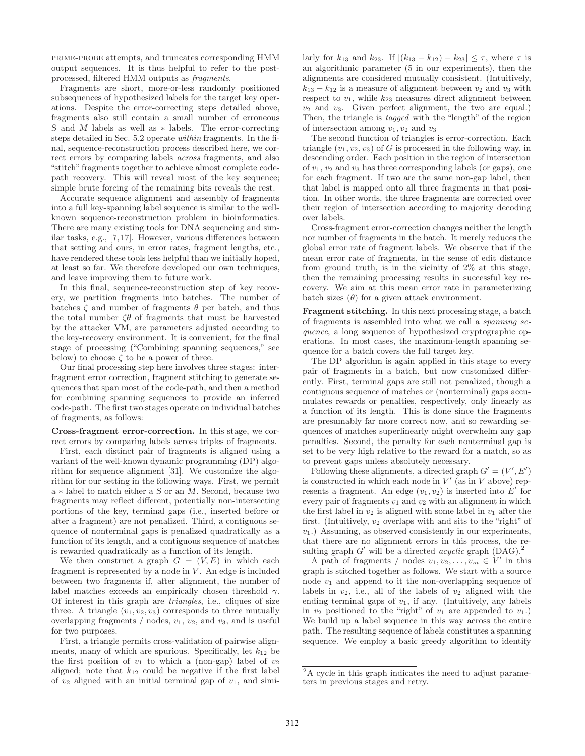prime-probe attempts, and truncates corresponding HMM output sequences. It is thus helpful to refer to the postprocessed, filtered HMM outputs as *fragments*.

Fragments are short, more-or-less randomly positioned subsequences of hypothesized labels for the target key operations. Despite the error-correcting steps detailed above, fragments also still contain a small number of erroneous S and M labels as well as ∗ labels. The error-correcting steps detailed in Sec. 5.2 operate *within* fragments. In the final, sequence-reconstruction process described here, we correct errors by comparing labels *across* fragments, and also "stitch" fragments together to achieve almost complete codepath recovery. This will reveal most of the key sequence; simple brute forcing of the remaining bits reveals the rest.

Accurate sequence alignment and assembly of fragments into a full key-spanning label sequence is similar to the wellknown sequence-reconstruction problem in bioinformatics. There are many existing tools for DNA sequencing and similar tasks, e.g., [7, 17]. However, various differences between that setting and ours, in error rates, fragment lengths, etc., have rendered these tools less helpful than we initially hoped, at least so far. We therefore developed our own techniques, and leave improving them to future work.

In this final, sequence-reconstruction step of key recovery, we partition fragments into batches. The number of batches  $\zeta$  and number of fragments  $\theta$  per batch, and thus the total number  $\zeta\theta$  of fragments that must be harvested by the attacker VM, are parameters adjusted according to the key-recovery environment. It is convenient, for the final stage of processing ("Combining spanning sequences," see below) to choose  $\zeta$  to be a power of three.

Our final processing step here involves three stages: interfragment error correction, fragment stitching to generate sequences that span most of the code-path, and then a method for combining spanning sequences to provide an inferred code-path. The first two stages operate on individual batches of fragments, as follows:

Cross-fragment error-correction. In this stage, we correct errors by comparing labels across triples of fragments.

First, each distinct pair of fragments is aligned using a variant of the well-known dynamic programming (DP) algorithm for sequence alignment [31]. We customize the algorithm for our setting in the following ways. First, we permit a ∗ label to match either a S or an M. Second, because two fragments may reflect different, potentially non-intersecting portions of the key, terminal gaps (i.e., inserted before or after a fragment) are not penalized. Third, a contiguous sequence of nonterminal gaps is penalized quadratically as a function of its length, and a contiguous sequence of matches is rewarded quadratically as a function of its length.

We then construct a graph  $G = (V, E)$  in which each fragment is represented by a node in  $V$ . An edge is included between two fragments if, after alignment, the number of label matches exceeds an empirically chosen threshold  $\gamma$ . Of interest in this graph are *triangles*, i.e., cliques of size three. A triangle  $(v_1, v_2, v_3)$  corresponds to three mutually overlapping fragments / nodes,  $v_1$ ,  $v_2$ , and  $v_3$ , and is useful for two purposes.

First, a triangle permits cross-validation of pairwise alignments, many of which are spurious. Specifically, let  $k_{12}$  be the first position of  $v_1$  to which a (non-gap) label of  $v_2$ aligned; note that  $k_{12}$  could be negative if the first label of  $v_2$  aligned with an initial terminal gap of  $v_1$ , and similarly for  $k_{13}$  and  $k_{23}$ . If  $|(k_{13} - k_{12}) - k_{23}| \leq \tau$ , where  $\tau$  is an algorithmic parameter (5 in our experiments), then the alignments are considered mutually consistent. (Intuitively,  $k_{13} - k_{12}$  is a measure of alignment between  $v_2$  and  $v_3$  with respect to  $v_1$ , while  $k_{23}$  measures direct alignment between  $v_2$  and  $v_3$ . Given perfect alignment, the two are equal.) Then, the triangle is *tagged* with the "length" of the region of intersection among  $v_1, v_2$  and  $v_3$ 

The second function of triangles is error-correction. Each triangle  $(v_1, v_2, v_3)$  of G is processed in the following way, in descending order. Each position in the region of intersection of  $v_1, v_2$  and  $v_3$  has three corresponding labels (or gaps), one for each fragment. If two are the same non-gap label, then that label is mapped onto all three fragments in that position. In other words, the three fragments are corrected over their region of intersection according to majority decoding over labels.

Cross-fragment error-correction changes neither the length nor number of fragments in the batch. It merely reduces the global error rate of fragment labels. We observe that if the mean error rate of fragments, in the sense of edit distance from ground truth, is in the vicinity of 2% at this stage, then the remaining processing results in successful key recovery. We aim at this mean error rate in parameterizing batch sizes  $(\theta)$  for a given attack environment.

Fragment stitching. In this next processing stage, a batch of fragments is assembled into what we call a *spanning sequence*, a long sequence of hypothesized cryptographic operations. In most cases, the maximum-length spanning sequence for a batch covers the full target key.

The DP algorithm is again applied in this stage to every pair of fragments in a batch, but now customized differently. First, terminal gaps are still not penalized, though a contiguous sequence of matches or (nonterminal) gaps accumulates rewards or penalties, respectively, only linearly as a function of its length. This is done since the fragments are presumably far more correct now, and so rewarding sequences of matches superlinearly might overwhelm any gap penalties. Second, the penalty for each nonterminal gap is set to be very high relative to the reward for a match, so as to prevent gaps unless absolutely necessary.

Following these alignments, a directed graph  $G' = (V', E')$ is constructed in which each node in  $V'$  (as in  $V$  above) represents a fragment. An edge  $(v_1, v_2)$  is inserted into E' for every pair of fragments  $v_1$  and  $v_2$  with an alignment in which the first label in  $v_2$  is aligned with some label in  $v_1$  after the first. (Intuitively,  $v_2$  overlaps with and sits to the "right" of  $v_1$ .) Assuming, as observed consistently in our experiments, that there are no alignment errors in this process, the resulting graph G' will be a directed *acyclic* graph (DAG).<sup>2</sup>

A path of fragments / nodes  $v_1, v_2, \ldots, v_m \in V'$  in this graph is stitched together as follows. We start with a source node  $v_1$  and append to it the non-overlapping sequence of labels in  $v_2$ , i.e., all of the labels of  $v_2$  aligned with the ending terminal gaps of  $v_1$ , if any. (Intuitively, any labels in  $v_2$  positioned to the "right" of  $v_1$  are appended to  $v_1$ .) We build up a label sequence in this way across the entire path. The resulting sequence of labels constitutes a spanning sequence. We employ a basic greedy algorithm to identify

<sup>&</sup>lt;sup>2</sup>A cycle in this graph indicates the need to adjust parameters in previous stages and retry.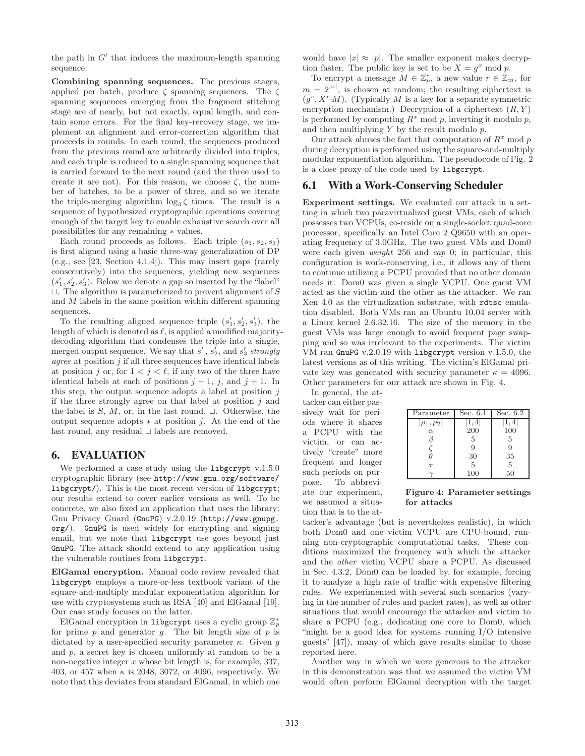the path in  $G'$  that induces the maximum-length spanning sequence.

Combining spanning sequences. The previous stages, applied per batch, produce  $\zeta$  spanning sequences. The  $\zeta$ spanning sequences emerging from the fragment stitching stage are of nearly, but not exactly, equal length, and contain some errors. For the final key-recovery stage, we implement an alignment and error-correction algorithm that proceeds in rounds. In each round, the sequences produced from the previous round are arbitrarily divided into triples, and each triple is reduced to a single spanning sequence that is carried forward to the next round (and the three used to create it are not). For this reason, we choose  $\zeta$ , the number of batches, to be a power of three, and so we iterate the triple-merging algorithm  $log_3 \zeta$  times. The result is a sequence of hypothesized cryptographic operations covering enough of the target key to enable exhaustive search over all possibilities for any remaining ∗ values.

Each round proceeds as follows. Each triple  $(s_1, s_2, s_3)$ is first aligned using a basic three-way generalization of DP (e.g., see [23, Section 4.1.4]). This may insert gaps (rarely consecutively) into the sequences, yielding new sequences  $(s'_1, s'_2, s'_3)$ . Below we denote a gap so inserted by the "label" ⊔. The algorithm is parameterized to prevent alignment of S and M labels in the same position within different spanning sequences.

To the resulting aligned sequence triple  $(s'_1, s'_2, s'_3)$ , the length of which is denoted as  $\ell$ , is applied a modified majoritydecoding algorithm that condenses the triple into a single, merged output sequence. We say that  $s'_1$ ,  $s'_2$ , and  $s'_3$  *strongly agree* at position j if all three sequences have identical labels at position j or, for  $1 < j < \ell$ , if any two of the three have identical labels at each of positions  $j - 1$ , j, and  $j + 1$ . In this step, the output sequence adopts a label at position  $j$ if the three strongly agree on that label at position  $i$  and the label is S, M, or, in the last round, ⊔. Otherwise, the output sequence adopts  $*$  at position j. At the end of the last round, any residual ⊔ labels are removed.

## **6. EVALUATION**

We performed a case study using the libgcrypt v.1.5.0 cryptographic library (see http://www.gnu.org/software/ libgcrypt/). This is the most recent version of libgcrypt; our results extend to cover earlier versions as well. To be concrete, we also fixed an application that uses the library: Gnu Privacy Guard (GnuPG) v.2.0.19 (http://www.gnupg. org/). GnuPG is used widely for encrypting and signing email, but we note that libgcrypt use goes beyond just GnuPG. The attack should extend to any application using the vulnerable routines from libgcrypt.

ElGamal encryption. Manual code review revealed that libgcrypt employs a more-or-less textbook variant of the square-and-multiply modular exponentiation algorithm for use with cryptosystems such as RSA [40] and ElGamal [19]. Our case study focuses on the latter.

ElGamal encryption in libgcrypt uses a cyclic group  $\mathbb{Z}_p^*$ for prime  $p$  and generator  $q$ . The bit length size of  $p$  is dictated by a user-specified security parameter  $\kappa$ . Given g and p, a secret key is chosen uniformly at random to be a non-negative integer  $x$  whose bit length is, for example, 337, 403, or 457 when  $\kappa$  is 2048, 3072, or 4096, respectively. We note that this deviates from standard ElGamal, in which one

would have  $|x| \approx |p|$ . The smaller exponent makes decryption faster. The public key is set to be  $X = g^x \text{ mod } p$ .

To encrypt a message  $M \in \mathbb{Z}_p^*$ , a new value  $r \in \mathbb{Z}_m$ , for  $m = 2^{|x|}$ , is chosen at random; the resulting ciphertext is  $(g<sup>r</sup>, X<sup>r</sup>·M)$ . (Typically M is a key for a separate symmetric encryption mechanism.) Decryption of a ciphertext  $(R, Y)$ is performed by computing  $R^x$  mod p, inverting it modulo p, and then multiplying  $Y$  by the result modulo  $p$ .

Our attack abuses the fact that computation of  $R^x$  mod  $p$ during decryption is performed using the square-and-multiply modular exponentiation algorithm. The pseudocode of Fig. 2 is a close proxy of the code used by libgcrypt.

#### **6.1 With a Work-Conserving Scheduler**

Experiment settings. We evaluated our attack in a setting in which two paravirtualized guest VMs, each of which possesses two VCPUs, co-reside on a single-socket quad-core processor, specifically an Intel Core 2 Q9650 with an operating frequency of 3.0GHz. The two guest VMs and Dom0 were each given *weight* 256 and *cap* 0; in particular, this configuration is work-conserving, i.e., it allows any of them to continue utilizing a PCPU provided that no other domain needs it. Dom0 was given a single VCPU. One guest VM acted as the victim and the other as the attacker. We ran Xen 4.0 as the virtualization substrate, with rdtsc emulation disabled. Both VMs ran an Ubuntu 10.04 server with a Linux kernel 2.6.32.16. The size of the memory in the guest VMs was large enough to avoid frequent page swapping and so was irrelevant to the experiments. The victim VM ran GnuPG v.2.0.19 with libgcrypt version v.1.5.0, the latest versions as of this writing. The victim's ElGamal private key was generated with security parameter  $\kappa = 4096$ . Other parameters for our attack are shown in Fig. 4.

In general, the attacker can either passively wait for periods where it shares a PCPU with the victim, or can actively "create" more frequent and longer such periods on purpose. To abbreviate our experiment, we assumed a situa-

tion that is to the at-

| Parameter                     | Sec. $6.1$     | Sec. $6.2$    |
|-------------------------------|----------------|---------------|
|                               |                |               |
| $[\rho_1,\rho_2]$<br>$\alpha$ | 200            | 100           |
|                               |                |               |
|                               | 5              | 5             |
|                               | 9              | 9             |
| н                             | 30             | 35            |
| $\tau$                        | $\overline{5}$ | $\frac{5}{2}$ |
|                               | 100            | 50            |

Figure 4: Parameter settings for attacks

tacker's advantage (but is nevertheless realistic), in which both Dom0 and one victim VCPU are CPU-bound, running non-cryptographic computational tasks. These conditions maximized the frequency with which the attacker and the *other* victim VCPU share a PCPU. As discussed in Sec. 4.3.2, Dom0 can be loaded by, for example, forcing it to analyze a high rate of traffic with expensive filtering rules. We experimented with several such scenarios (varying in the number of rules and packet rates), as well as other situations that would encourage the attacker and victim to share a PCPU (e.g., dedicating one core to Dom0, which "might be a good idea for systems running I/O intensive guests" [47]), many of which gave results similar to those reported here.

Another way in which we were generous to the attacker in this demonstration was that we assumed the victim VM would often perform ElGamal decryption with the target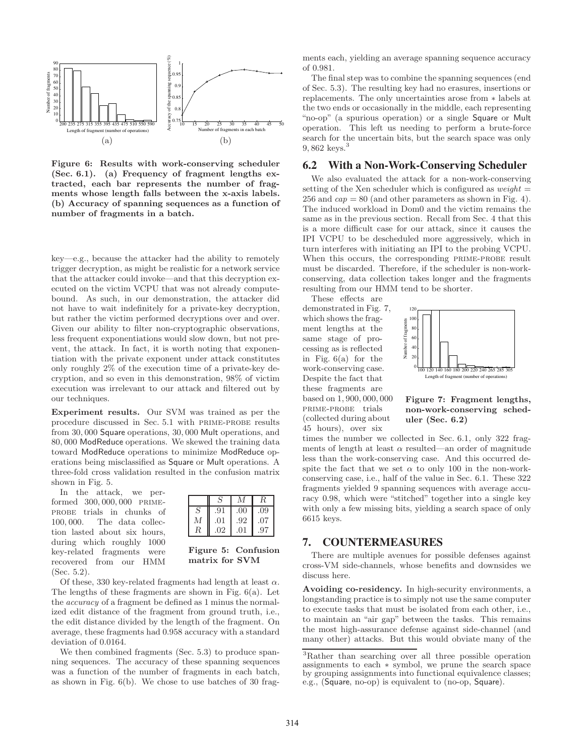

Figure 6: Results with work-conserving scheduler (Sec. 6.1). (a) Frequency of fragment lengths extracted, each bar represents the number of fragments whose length falls between the x-axis labels. (b) Accuracy of spanning sequences as a function of number of fragments in a batch.

key—e.g., because the attacker had the ability to remotely trigger decryption, as might be realistic for a network service that the attacker could invoke—and that this decryption executed on the victim VCPU that was not already computebound. As such, in our demonstration, the attacker did not have to wait indefinitely for a private-key decryption, but rather the victim performed decryptions over and over. Given our ability to filter non-cryptographic observations, less frequent exponentiations would slow down, but not prevent, the attack. In fact, it is worth noting that exponentiation with the private exponent under attack constitutes only roughly 2% of the execution time of a private-key decryption, and so even in this demonstration, 98% of victim execution was irrelevant to our attack and filtered out by our techniques.

Experiment results. Our SVM was trained as per the procedure discussed in Sec. 5.1 with prime-probe results from 30, 000 Square operations, 30, 000 Mult operations, and 80, 000 ModReduce operations. We skewed the training data toward ModReduce operations to minimize ModReduce operations being misclassified as Square or Mult operations. A three-fold cross validation resulted in the confusion matrix shown in Fig. 5.

In the attack, we performed 300, 000, 000 primeprobe trials in chunks of 100, 000. The data collection lasted about six hours, during which roughly 1000 key-related fragments were recovered from our HMM (Sec. 5.2).

| S | .91 | .00 | .09 |
|---|-----|-----|-----|
|   | .01 | .92 | .07 |
| R | .02 | .01 |     |

Figure 5: Confusion matrix for SVM

Of these, 330 key-related fragments had length at least  $\alpha$ . The lengths of these fragments are shown in Fig. 6(a). Let the *accuracy* of a fragment be defined as 1 minus the normalized edit distance of the fragment from ground truth, i.e., the edit distance divided by the length of the fragment. On average, these fragments had 0.958 accuracy with a standard deviation of 0.0164.

We then combined fragments (Sec. 5.3) to produce spanning sequences. The accuracy of these spanning sequences was a function of the number of fragments in each batch, as shown in Fig. 6(b). We chose to use batches of 30 fragments each, yielding an average spanning sequence accuracy of 0.981.

The final step was to combine the spanning sequences (end of Sec. 5.3). The resulting key had no erasures, insertions or replacements. The only uncertainties arose from ∗ labels at the two ends or occasionally in the middle, each representing "no-op" (a spurious operation) or a single Square or Mult operation. This left us needing to perform a brute-force search for the uncertain bits, but the search space was only  $9,862 \text{ keys.}$ <sup>3</sup>

#### **6.2 With a Non-Work-Conserving Scheduler**

We also evaluated the attack for a non-work-conserving setting of the Xen scheduler which is configured as *weight* = 256 and  $cap = 80$  (and other parameters as shown in Fig. 4). The induced workload in Dom0 and the victim remains the same as in the previous section. Recall from Sec. 4 that this is a more difficult case for our attack, since it causes the IPI VCPU to be descheduled more aggressively, which in turn interferes with initiating an IPI to the probing VCPU. When this occurs, the corresponding PRIME-PROBE result must be discarded. Therefore, if the scheduler is non-workconserving, data collection takes longer and the fragments resulting from our HMM tend to be shorter.

These effects are demonstrated in Fig. 7, which shows the fragment lengths at the same stage of processing as is reflected in Fig. 6(a) for the work-conserving case. Despite the fact that these fragments are based on 1, 900, 000, 000 prime-probe trials (collected during about 45 hours), over six



Figure 7: Fragment lengths, non-work-conserving scheduler (Sec. 6.2)

times the number we collected in Sec. 6.1, only 322 fragments of length at least  $\alpha$  resulted—an order of magnitude less than the work-conserving case. And this occurred despite the fact that we set  $\alpha$  to only 100 in the non-workconserving case, i.e., half of the value in Sec. 6.1. These 322 fragments yielded 9 spanning sequences with average accuracy 0.98, which were "stitched" together into a single key with only a few missing bits, yielding a search space of only 6615 keys.

## **7. COUNTERMEASURES**

There are multiple avenues for possible defenses against cross-VM side-channels, whose benefits and downsides we discuss here.

Avoiding co-residency. In high-security environments, a longstanding practice is to simply not use the same computer to execute tasks that must be isolated from each other, i.e., to maintain an "air gap" between the tasks. This remains the most high-assurance defense against side-channel (and many other) attacks. But this would obviate many of the

<sup>3</sup>Rather than searching over all three possible operation assignments to each ∗ symbol, we prune the search space by grouping assignments into functional equivalence classes; e.g., (Square, no-op) is equivalent to (no-op, Square).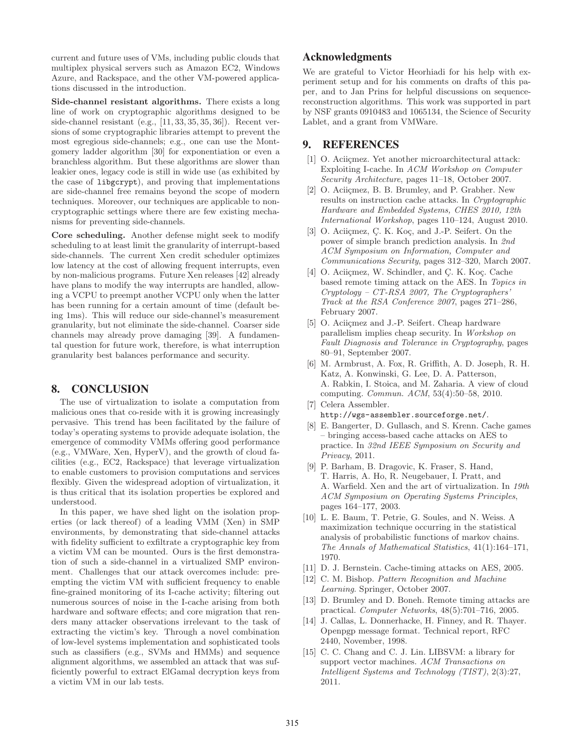current and future uses of VMs, including public clouds that multiplex physical servers such as Amazon EC2, Windows Azure, and Rackspace, and the other VM-powered applications discussed in the introduction.

Side-channel resistant algorithms. There exists a long line of work on cryptographic algorithms designed to be side-channel resistant (e.g., [11, 33, 35, 35, 36]). Recent versions of some cryptographic libraries attempt to prevent the most egregious side-channels; e.g., one can use the Montgomery ladder algorithm [30] for exponentiation or even a branchless algorithm. But these algorithms are slower than leakier ones, legacy code is still in wide use (as exhibited by the case of libgcrypt), and proving that implementations are side-channel free remains beyond the scope of modern techniques. Moreover, our techniques are applicable to noncryptographic settings where there are few existing mechanisms for preventing side-channels.

Core scheduling. Another defense might seek to modify scheduling to at least limit the granularity of interrupt-based side-channels. The current Xen credit scheduler optimizes low latency at the cost of allowing frequent interrupts, even by non-malicious programs. Future Xen releases [42] already have plans to modify the way interrupts are handled, allowing a VCPU to preempt another VCPU only when the latter has been running for a certain amount of time (default being 1ms). This will reduce our side-channel's measurement granularity, but not eliminate the side-channel. Coarser side channels may already prove damaging [39]. A fundamental question for future work, therefore, is what interruption granularity best balances performance and security.

# **8. CONCLUSION**

The use of virtualization to isolate a computation from malicious ones that co-reside with it is growing increasingly pervasive. This trend has been facilitated by the failure of today's operating systems to provide adequate isolation, the emergence of commodity VMMs offering good performance (e.g., VMWare, Xen, HyperV), and the growth of cloud facilities (e.g., EC2, Rackspace) that leverage virtualization to enable customers to provision computations and services flexibly. Given the widespread adoption of virtualization, it is thus critical that its isolation properties be explored and understood.

In this paper, we have shed light on the isolation properties (or lack thereof) of a leading VMM (Xen) in SMP environments, by demonstrating that side-channel attacks with fidelity sufficient to exfiltrate a cryptographic key from a victim VM can be mounted. Ours is the first demonstration of such a side-channel in a virtualized SMP environment. Challenges that our attack overcomes include: preempting the victim VM with sufficient frequency to enable fine-grained monitoring of its I-cache activity; filtering out numerous sources of noise in the I-cache arising from both hardware and software effects; and core migration that renders many attacker observations irrelevant to the task of extracting the victim's key. Through a novel combination of low-level systems implementation and sophisticated tools such as classifiers (e.g., SVMs and HMMs) and sequence alignment algorithms, we assembled an attack that was sufficiently powerful to extract ElGamal decryption keys from a victim VM in our lab tests.

# **Acknowledgments**

We are grateful to Victor Heorhiadi for his help with experiment setup and for his comments on drafts of this paper, and to Jan Prins for helpful discussions on sequencereconstruction algorithms. This work was supported in part by NSF grants 0910483 and 1065134, the Science of Security Lablet, and a grant from VMWare.

# **9. REFERENCES**

- [1] O. Aciiçmez. Yet another microarchitectural attack: Exploiting I-cache. In *ACM Workshop on Computer Security Architecture*, pages 11–18, October 2007.
- [2] O. Aciiçmez, B. B. Brumley, and P. Grabher. New results on instruction cache attacks. In *Cryptographic Hardware and Embedded Systems, CHES 2010, 12th International Workshop*, pages 110–124, August 2010.
- [3] O. Aciiçmez, Ç. K. Koç, and J.-P. Seifert. On the power of simple branch prediction analysis. In *2nd ACM Symposium on Information, Computer and Communications Security*, pages 312–320, March 2007.
- [4] O. Aciiçmez, W. Schindler, and C. K. Koç. Cache based remote timing attack on the AES. In *Topics in Cryptology – CT-RSA 2007, The Cryptographers' Track at the RSA Conference 2007*, pages 271–286, February 2007.
- [5] O. Aciicmez and J.-P. Seifert. Cheap hardware parallelism implies cheap security. In *Workshop on Fault Diagnosis and Tolerance in Cryptography*, pages 80–91, September 2007.
- [6] M. Armbrust, A. Fox, R. Griffith, A. D. Joseph, R. H. Katz, A. Konwinski, G. Lee, D. A. Patterson, A. Rabkin, I. Stoica, and M. Zaharia. A view of cloud computing. *Commun. ACM*, 53(4):50–58, 2010.
- [7] Celera Assembler. http://wgs-assembler.sourceforge.net/.
- [8] E. Bangerter, D. Gullasch, and S. Krenn. Cache games – bringing access-based cache attacks on AES to practice. In *32nd IEEE Symposium on Security and Privacy*, 2011.
- [9] P. Barham, B. Dragovic, K. Fraser, S. Hand, T. Harris, A. Ho, R. Neugebauer, I. Pratt, and A. Warfield. Xen and the art of virtualization. In *19th ACM Symposium on Operating Systems Principles*, pages 164–177, 2003.
- [10] L. E. Baum, T. Petrie, G. Soules, and N. Weiss. A maximization technique occurring in the statistical analysis of probabilistic functions of markov chains. *The Annals of Mathematical Statistics*, 41(1):164–171, 1970.
- [11] D. J. Bernstein. Cache-timing attacks on AES, 2005.
- [12] C. M. Bishop. *Pattern Recognition and Machine Learning*. Springer, October 2007.
- [13] D. Brumley and D. Boneh. Remote timing attacks are practical. *Computer Networks*, 48(5):701–716, 2005.
- [14] J. Callas, L. Donnerhacke, H. Finney, and R. Thayer. Openpgp message format. Technical report, RFC 2440, November, 1998.
- [15] C. C. Chang and C. J. Lin. LIBSVM: a library for support vector machines. *ACM Transactions on Intelligent Systems and Technology (TIST)*, 2(3):27, 2011.